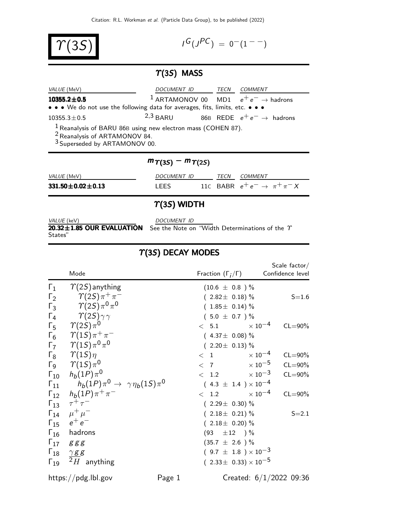$\Upsilon(3S)$ 

 $I^G(J^{PC}) = 0^-(1^{--})$ 

#### $T(3S)$  MASS

| VALUE (MeV)                                                                                                                                              | DOCUMENT ID |  | TECN COMMENT                                               |
|----------------------------------------------------------------------------------------------------------------------------------------------------------|-------------|--|------------------------------------------------------------|
| $10355.2 \pm 0.5$                                                                                                                                        |             |  | <sup>1</sup> ARTAMONOV 00 MD1 $e^+e^- \rightarrow$ hadrons |
| • • • We do not use the following data for averages, fits, limits, etc. • • •                                                                            |             |  |                                                            |
| $10355.3 \pm 0.5$                                                                                                                                        | $2,3$ BARU  |  | 86B REDE $e^+e^- \rightarrow$ hadrons                      |
| $1$ Reanalysis of BARU 86B using new electron mass (COHEN 87).<br>$\frac{2}{3}$ Reanalysis of ARTAMONOV 84.<br>$\frac{3}{3}$ Superseded by ARTAMONOV 00. |             |  |                                                            |

#### $m\gamma(3S) - m\gamma(2S)$

VALUE (MeV) DOCUMENT ID TECN COMMENT

**331.50±0.02±0.13** LEES 11C BABR  $e^+e^- \to \pi^+\pi^-X$ 

# $\gamma$ (3S) WIDTH

VALUE (keV) DOCUMENT ID  $20.32\pm1.85$  OUR EVALUATION See the Note on "Width Determinations of the  $\gamma$ 

States"

# $\Upsilon(3S)$  DECAY MODES

|               | Mode                                                            |        | Fraction $(\Gamma_i/\Gamma)$     | Scale $factor/$<br>Confidence level |
|---------------|-----------------------------------------------------------------|--------|----------------------------------|-------------------------------------|
| $\Gamma_1$    | $\gamma(2S)$ anything                                           |        | $(10.6 \pm 0.8) \%$              |                                     |
| $\Gamma_2$    | $\gamma(2S)\pi^+\pi^-$                                          |        | $(2.82 \pm 0.18)\%$              | $S = 1.6$                           |
| $\Gamma_3$    | $\gamma_{(2S)\pi^0\pi^0}$                                       |        | $(1.85 \pm 0.14)$ %              |                                     |
| $\Gamma_4$    | $\gamma_{(2S)\gamma\gamma}$                                     |        | $(5.0 \pm 0.7)$ %                |                                     |
| $\Gamma_5$    | $\varUpsilon(2S)\pi^0$                                          |        | $< 5.1$ $\times 10^{-4}$         | $CL = 90\%$                         |
| $\Gamma_6$    | $\gamma(1S)\pi^+\pi^-$                                          |        | $(4.37 \pm 0.08)\%$              |                                     |
|               | $\Gamma_7 \qquad \Upsilon(1S) \pi^0 \pi^0$                      |        | $(2.20 \pm 0.13)\%$              |                                     |
|               | $\Gamma_8$ $\gamma(1S)\eta$                                     |        | $< 1$ $\times 10^{-4}$           | $CL = 90\%$                         |
|               | $\Gamma_9$ $\gamma(15)\pi^0$                                    |        | $< 7$ $\times 10^{-5}$           | $CL = 90\%$                         |
|               | $\Gamma_{10}$ $h_b(1P)\pi^0$                                    |        | $< 1.2 \times 10^{-3}$           | $CL = 90\%$                         |
|               | $\Gamma_{11}$ $h_b(1P)\pi^0 \rightarrow \gamma \eta_b(1S)\pi^0$ |        | $(4.3 \pm 1.4) \times 10^{-4}$   |                                     |
|               | $\Gamma_{12}$ $h_b(1P)\pi^+\pi^-$                               |        | $< 1.2 \times 10^{-4}$           | $CL = 90\%$                         |
|               | $\Gamma_{13}$ $\tau^{+}\tau^{-}$                                |        | $(2.29 \pm 0.30)\%$              |                                     |
|               | $\Gamma_{14}$ $\mu^+ \mu^-$                                     |        | $(2.18 \pm 0.21)\%$              | $S = 2.1$                           |
|               | $\Gamma_{15}$ $e^+e^-$                                          |        | $(2.18 \pm 0.20)\%$              |                                     |
|               | $\Gamma_{16}$ hadrons                                           |        | $(93 \pm 12)$ %                  |                                     |
|               | $\Gamma_{17}$ ggg                                               |        | $(35.7 \pm 2.6) \%$              |                                     |
|               | $\Gamma_{18}$ $\frac{\gamma g g}{2 \pi g}$                      |        | $(9.7 \pm 1.8) \times 10^{-3}$   |                                     |
| $\Gamma_{19}$ | $2H$ anything                                                   |        | $(2.33 \pm 0.33) \times 10^{-5}$ |                                     |
|               | https://pdg.lbl.gov                                             | Page 1 |                                  | Created: $6/1/2022$ 09:36           |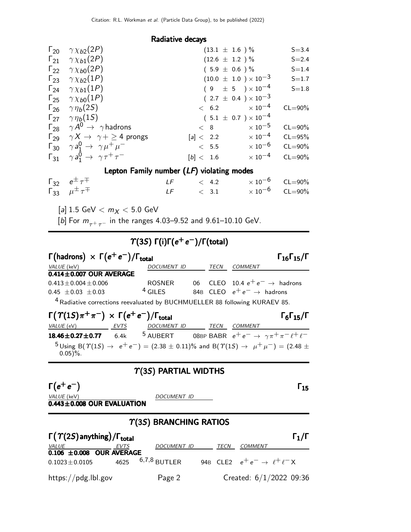#### Radiative decays

| $\Gamma_{20}$ $\gamma \chi_{b2}(2P)$                          |           | $(13.1 \pm 1.6) \%$             | $S = 3.4$   |
|---------------------------------------------------------------|-----------|---------------------------------|-------------|
| $\Gamma_{21}$ $\gamma \chi_{b1}(2P)$                          |           | $(12.6 \pm 1.2) \%$             | $S = 2.4$   |
| $\Gamma_{22}$ $\gamma \chi_{b0}(2P)$                          |           | $(5.9 \pm 0.6) \%$              | $S = 1.4$   |
| $\Gamma_{23}$ $\gamma \chi_{b2}(1P)$                          |           | $(10.0 \pm 1.0) \times 10^{-3}$ | $S = 1.7$   |
| $\Gamma_{24}$ $\gamma \chi_{b1}(1P)$                          |           | $(9 \pm 5) \times 10^{-4}$      | $S = 1.8$   |
| $\Gamma_{25}$ $\gamma \chi_{b0}(1P)$                          |           | $(2.7 \pm 0.4) \times 10^{-3}$  |             |
| $\Gamma_{26}$ $\gamma \eta_b(2S)$                             |           | $< 6.2 \times 10^{-4}$          | $CL = 90\%$ |
| $\Gamma_{27}$ $\gamma \eta_b(15)$                             |           | $(5.1 \pm 0.7) \times 10^{-4}$  |             |
| $\Gamma_{28}$ $\gamma A^0 \rightarrow \gamma$ hadrons         | < 8       | $\times$ 10 $^{-5}$             | $CL = 90\%$ |
| $\Gamma_{29}$ $\gamma X \rightarrow \gamma + \geq 4$ prongs   | [a] < 2.2 | $\times$ 10 $^{-4}$             | $CL = 95%$  |
| $\Gamma_{30}$ $\gamma a_1^0 \rightarrow \gamma \mu^+ \mu^-$   | < 5.5     | $\times$ 10 $^{-6}$             | $CL = 90\%$ |
| $\Gamma_{31}$ $\gamma a_1^0 \rightarrow \gamma \tau^+ \tau^-$ | [b] < 1.6 | $\times$ 10 $^{-4}$             | $CL = 90\%$ |

#### Lepton Family number (LF) violating modes

| $\begin{matrix} \Gamma_{32} & e^{\pm} \, \tau^{\mp} \\ \Gamma_{33} & \mu^{\pm} \, \tau^{\mp} \end{matrix}$ | $LF \t 4.2$ | $\times$ 10 $^{-6}$ CL=90% |  |
|------------------------------------------------------------------------------------------------------------|-------------|----------------------------|--|
|                                                                                                            | $LF \t 3.1$ | $\times$ 10 $^{-6}$ CL=90% |  |

[a]  $1.5 \text{ GeV} < m_X < 5.0 \text{ GeV}$ 

[b] For  $m_{\tau^+\tau^-}$  in the ranges 4.03–9.52 and 9.61–10.10 GeV.

#### $T(3S)$  Γ(i)Γ( $e^+e^-$ )/Γ(total)

| $\Gamma$ (hadrons) $\times \Gamma(e^+e^-)/\Gamma_{\text{total}}$                      | $\Gamma_{16}\Gamma_{15}/\Gamma$ |      |                                           |
|---------------------------------------------------------------------------------------|---------------------------------|------|-------------------------------------------|
| <i>VALUE</i> (keV)                                                                    | DOCUMENT ID                     | TECN | COMMENT                                   |
| $0.414 \pm 0.007$ OUR AVERAGE                                                         |                                 |      |                                           |
| $0.413 \pm 0.004 \pm 0.006$                                                           | <b>ROSNER</b>                   |      | 06 CLEO 10.4 $e^+e^- \rightarrow$ hadrons |
| $0.45 \pm 0.03 \pm 0.03$                                                              | $4$ GILES                       |      | 84B CLEO $e^+e^- \rightarrow$ hadrons     |
| $\frac{4}{10}$ distinct constitute manufactual by DUCUMULTU FD 00 following KUDAEV OF |                                 |      |                                           |

4Radiative corrections reevaluated by BUCHMUELLER 88 following KURAEV 85.

| $\Gamma(\Upsilon(1S)\pi^+\pi^-) \times \Gamma(e^+e^-)/\Gamma_{\text{total}}$ |      |                                                                                                                                             |      |         | $\Gamma_6\Gamma_{15}/\Gamma$ |
|------------------------------------------------------------------------------|------|---------------------------------------------------------------------------------------------------------------------------------------------|------|---------|------------------------------|
| <i>VALUE</i> (eV)                                                            | EVTS | <b>DOCUMENT ID</b>                                                                                                                          | TECN | COMMENT |                              |
| $18.46 \pm 0.27 \pm 0.77$ 6.4k                                               |      | 5 AUBERT 08BP BABR $e^+e^- \rightarrow \gamma \pi^+ \pi^- \ell^+ \ell^-$                                                                    |      |         |                              |
| $0.05$ )%.                                                                   |      | $5 \text{ Using B}(\Upsilon(15) \rightarrow e^+e^-) = (2.38 \pm 0.11)\%$ and B $(\Upsilon(15) \rightarrow \mu^+ \mu^-) = (2.48 \pm 0.11)\%$ |      |         |                              |

#### $\Upsilon(3S)$  PARTIAL WIDTHS

 $\Gamma(e^+e^-)$  Γ<sub>15</sub>  $(e^+e^-)$  $e^+e^-$ ) [15]

VALUE (keV) DOCUMENT ID

 $0.443\pm0.008$  OUR EVALUATION

# $\Upsilon(3S)$  BRANCHING RATIOS

| $\Gamma(\Upsilon(2S)$ anything) / $\Gamma_{\rm total}$ |      |                     |      | $\Gamma_1/\Gamma$                            |
|--------------------------------------------------------|------|---------------------|------|----------------------------------------------|
| <i>VALUE</i>                                           | EVTS | DOCUMENT ID         | TECN | <i>COMMENT</i>                               |
| $0.106 \pm 0.008$ OUR AVERAGE                          |      |                     |      |                                              |
| $0.1023 \pm 0.0105$                                    |      | 4625 $6,7,8$ BUTLER |      | 94B CLE2 $e^+e^- \rightarrow \ell^+\ell^- X$ |
| https://pdg.lbl.gov                                    |      | Page 2              |      | Created: 6/1/2022 09:36                      |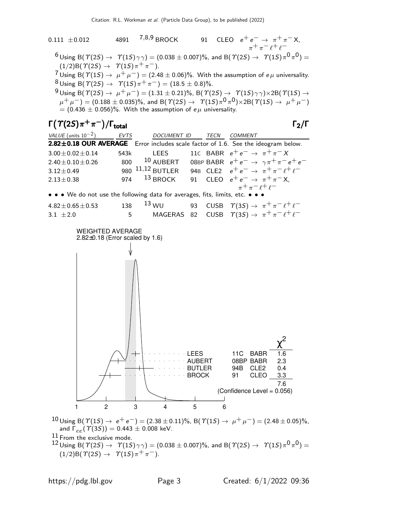

and  $\Gamma_{ee}(\hat{\Upsilon}(3S)) = 0.443 \pm 0.008$  keV.

 $11$  From the exclusive mode.

 $^{12}$  Using B(  $\varUpsilon(2S)\to-\varUpsilon(1S)\gamma\gamma)=(0.038\pm0.007)\%$ , and B(  $\varUpsilon(2S)\to-\varUpsilon(1S)\pi^{0}\pi^{0})=$  $(1/2)B(\Upsilon(2S) \to \Upsilon(1S)\pi^{+}\pi^{-}).$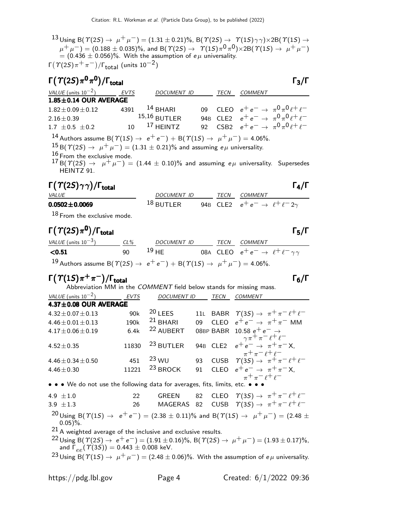13 Using B( $\gamma$ (2S)  $\rightarrow$   $\mu^+\mu^-$ ) = (1.31 ± 0.21)%, B( $\gamma$ (2S)  $\rightarrow$   $\gamma$ (1S) $\gamma\gamma$ )×2B( $\gamma$ (1S)  $\rightarrow$  $(\mu^+ \, \mu^-)=(0.188 \pm 0.035)\%$ , and B(  $\varUpsilon(2S) \rightarrow \phantom{+} \varUpsilon(1S) \pi^0 \pi^0) \times 2 \mathrm{B} (\, \varUpsilon(1S) \rightarrow \phantom{+} \mu^+ \, \mu^-)$  $=$  (0.436  $\pm$  0.056)%. With the assumption of e $\mu$  universality.

Γ $(\Upsilon(2S)\pi^+\pi^-)/\Gamma_{\rm total}$  (units 10 $^{-2})$ 

| $\Gamma(\Upsilon(2S)\pi^0\pi^0)/\Gamma_{\rm total}$                                                            |             |                    |      |         | $\Gamma_3/\Gamma$                                       |
|----------------------------------------------------------------------------------------------------------------|-------------|--------------------|------|---------|---------------------------------------------------------|
| VALUE (units $10^{-2}$ )                                                                                       | <b>EVTS</b> | <b>DOCUMENT ID</b> | TECN | COMMENT |                                                         |
| $1.85 \pm 0.14$ OUR AVERAGE                                                                                    |             |                    |      |         |                                                         |
| $1.82 \pm 0.09 \pm 0.12$                                                                                       | 4391        | $14$ BHARI         |      |         | 09 CLEO $e^+e^- \to \pi^0 \pi^0 \ell^+ \ell^-$          |
| $2.16 \pm 0.39$                                                                                                |             | $15,16$ BUTLER     |      |         | 94B CLE2 $e^+e^- \rightarrow \pi^0 \pi^0 \ell^+ \ell^-$ |
| 1.7 $\pm$ 0.5 $\pm$ 0.2                                                                                        | 10          | $17$ HFINTZ        |      |         | 92 CSB2 $e^+e^- \rightarrow \pi^0 \pi^0 \ell^+ \ell^-$  |
| 14 Authors assume B( $\Upsilon(1S) \to e^+e^-$ ) + B( $\Upsilon(1S) \to \mu^+\mu^-$ ) = 4.06%.                 |             |                    |      |         |                                                         |
| $^{15}$ B( $\gamma$ (2S) $\rightarrow$ $\mu^+ \mu^-$ ) = (1.31 $\pm$ 0.21)% and assuming e $\mu$ universality. |             |                    |      |         |                                                         |
| $16$ From the exclusive mode.                                                                                  |             |                    |      |         |                                                         |

 $^{17}$  B(  $\Upsilon(2S)$   $\rightarrow$   $\mu^+ \mu^-)$  = (1.44  $\pm$  0.10)% and assuming e $\mu$  universality. Supersedes HEINTZ 91.

# Γ $(T(2S) \gamma \gamma)$ /Γ<sub>total</sub> Γ<sub>4</sub>/Γ

| <i>VALUE</i>        | DOCUMENT ID    |  | <b>TFCN</b> | COMMENT                                           |
|---------------------|----------------|--|-------------|---------------------------------------------------|
| $0.0502 \pm 0.0069$ | $^{18}$ RUTLER |  |             | 94B CLE2 $e^+e^- \rightarrow \ell^+\ell^-2\gamma$ |
| --                  |                |  |             |                                                   |

18 From the exclusive mode.

# Γ $(\Upsilon(2S)\pi^0)/\Gamma_{\rm total}$

| VALUE (units $10^{-3}$ )                                                                       | $CL\%$ | DOCUMENT ID |  | TECN COMMENT                                              |
|------------------------------------------------------------------------------------------------|--------|-------------|--|-----------------------------------------------------------|
| $<$ 0.51                                                                                       | $90 -$ | $^{19}$ HF  |  | 08A CLEO $e^+e^- \rightarrow \ell^+ \ell^- \gamma \gamma$ |
| 19 Authors assume B( $\Upsilon(2S) \to e^+e^-$ ) + B( $\Upsilon(1S) \to \mu^+\mu^-$ ) = 4.06%. |        |             |  |                                                           |

# $\Gamma(\Upsilon(1S)\pi^+\pi^-)/\Gamma_{\rm total}$

Abbreviation MM in the COMMENT field below stands for missing mass. VALUE (units  $10^{-2}$ ) ) EVTS DOCUMENT ID TECN COMMENT

| $4.37 \pm 0.08$ OUR AVERAGE |       |                      |    |                                                                                                |
|-----------------------------|-------|----------------------|----|------------------------------------------------------------------------------------------------|
| $4.32 \pm 0.07 \pm 0.13$    | 90k   | $20$ LEES            |    | 11L BABR $\Upsilon(3S) \rightarrow \pi^+ \pi^- \ell^+ \ell^-$                                  |
| $4.46 \pm 0.01 \pm 0.13$    | 190k  | $21$ BHARI           | 09 | CLEO $e^+e^- \rightarrow \pi^+\pi^-$ MM                                                        |
| $4.17 \pm 0.06 \pm 0.19$    | 6.4k  | <sup>22</sup> AUBERT |    |                                                                                                |
| $4.52 \pm 0.35$             | 11830 | <sup>23</sup> BUTLER |    | 08BP BABR 10.58 $e^+e^- \rightarrow$<br>94B CLE2 $e^+e^- \rightarrow \pi^+\pi^- \ell^+ \ell^-$ |
| $4.46 \pm 0.34 \pm 0.50$    | 451   | $23$ WU              | 93 | CUSB $\tau + \pi^- \ell^+ \ell^-$<br>CUSB $\tau(35) \rightarrow \pi^+ \pi^- \ell^+ \ell^-$     |
| $4.46 \pm 0.30$             | 11221 | $^{23}$ BROCK        | 91 | CLEO $e^+e^- \rightarrow \pi^+\pi^-X$                                                          |
|                             |       |                      |    | $\pi^+ \pi^- \ell^+ \ell^-$                                                                    |

• • • We do not use the following data for averages, fits, limits, etc. • • •

4.9 ±1.0 22 GREEN 82 CLEO  $\Upsilon(3S) \to \pi^+ \pi^- \ell^+ \ell^-$ 3.9 ±1.3 26 MAGERAS 82 CUSB  $\hat{T}(3S) \rightarrow \pi^+ \pi^- \ell^+ \ell^ 20 \text{ Using } B(\Upsilon(15) \rightarrow e^+e^-) = (2.38 \pm 0.11)\%$  and  $B(\Upsilon(15) \rightarrow \mu^+ \mu^-) = (2.48 \pm 0.11)\%$  $0.05$ )%.

21 A weighted average of the inclusive and exclusive results.

22 Using B( $\Upsilon(2S)$  →  $e^+e^-$ ) = (1.91 ± 0.16)%, B( $\Upsilon(2S)$  →  $\mu^+\mu^-$ ) = (1.93 ± 0.17)%, and  $\Gamma_{ee}(\Upsilon(3S)) = 0.443 \pm 0.008$  keV.

<sup>23</sup> Using B( $\Upsilon(1S)$  →  $\mu^+ \mu^-$ ) = (2.48 ± 0.06)%. With the assumption of *e* $\mu$  universality.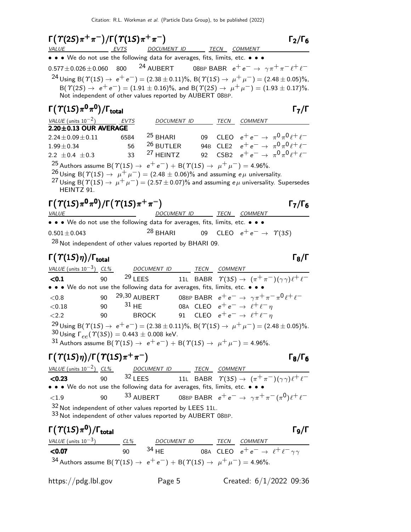| $\Gamma(\Upsilon(2S)\pi^+\pi^-)/\Gamma(\Upsilon(1S)\pi^+\pi^-)$                                                                                                                                                                                                                                                                                                                                  |      |                                    |                                                                                    |                                         | $\Gamma_2/\Gamma_6$                                                        |
|--------------------------------------------------------------------------------------------------------------------------------------------------------------------------------------------------------------------------------------------------------------------------------------------------------------------------------------------------------------------------------------------------|------|------------------------------------|------------------------------------------------------------------------------------|-----------------------------------------|----------------------------------------------------------------------------|
| <b>VALUE</b><br><u>EVTS</u><br>• • • We do not use the following data for averages, fits, limits, etc. • • •                                                                                                                                                                                                                                                                                     |      |                                    | <u>DOCUMENT ID _______ TECN __ COMMENT _</u>                                       |                                         |                                                                            |
| $0.577 \pm 0.026 \pm 0.060$ 800 <sup>24</sup> AUBERT 08BP BABR $e^+e^- \rightarrow \gamma \pi^+ \pi^- \ell^+ \ell^-$                                                                                                                                                                                                                                                                             |      |                                    |                                                                                    |                                         |                                                                            |
|                                                                                                                                                                                                                                                                                                                                                                                                  |      |                                    |                                                                                    |                                         |                                                                            |
| <sup>24</sup> Using B( $\Upsilon(15) \rightarrow e^+e^-$ ) = (2.38 ± 0.11)%, B( $\Upsilon(15) \rightarrow \mu^+ \mu^-$ ) = (2.48 ± 0.05)%,<br>$B(\Upsilon(2S) \rightarrow e^+e^-) = (1.91 \pm 0.16)\%$ , and $B(\Upsilon(2S) \rightarrow \mu^+\mu^-) = (1.93 \pm 0.17)\%$ .<br>Not independent of other values reported by AUBERT 08BP.                                                          |      |                                    |                                                                                    |                                         |                                                                            |
| $\Gamma(\varUpsilon(1S)\pi^0\pi^0)/\Gamma_{\rm total}$                                                                                                                                                                                                                                                                                                                                           |      |                                    |                                                                                    |                                         | $\mathsf{\Gamma}_7/\mathsf{\Gamma}$                                        |
| VALUE (units $10^{-2}$ ) EVTS                                                                                                                                                                                                                                                                                                                                                                    |      |                                    | DOCUMENT ID                                                                        | TECN COMMENT                            |                                                                            |
| $2.20 \pm 0.13$ OUR AVERAGE                                                                                                                                                                                                                                                                                                                                                                      |      |                                    |                                                                                    |                                         | 09 CLEO $e^+e^- \to \pi^0 \pi^0 \ell^+ \ell^-$                             |
| $2.24 \pm 0.09 \pm 0.11$                                                                                                                                                                                                                                                                                                                                                                         | 6584 | $25$ BHARI<br><sup>26</sup> BUTLER |                                                                                    |                                         | 94B CLE2 $e^+e^- \rightarrow \pi^0 \pi^0 \ell^+ \ell^-$                    |
| $1.99 \pm 0.34$<br>$2.2 \pm 0.4 \pm 0.3$ 33                                                                                                                                                                                                                                                                                                                                                      | 56   | <sup>27</sup> HEINTZ               |                                                                                    |                                         | 92 CSB2 $e^+e^- \to \pi^0 \pi^0 \ell^+ \ell^-$                             |
|                                                                                                                                                                                                                                                                                                                                                                                                  |      |                                    |                                                                                    |                                         |                                                                            |
| <sup>25</sup> Authors assume B( $\Upsilon(1S) \rightarrow e^+e^-$ ) + B( $\Upsilon(1S) \rightarrow \mu^+\mu^-$ ) = 4.96%.<br><sup>26</sup> Using B( $\Upsilon(15) \rightarrow \mu^+ \mu^-$ ) = (2.48 ± 0.06)% and assuming $e\mu$ universality.<br><sup>27</sup> Using B( $\Upsilon(1S) \rightarrow \mu^+ \mu^-) = (2.57 \pm 0.07)\%$ and assuming $e\mu$ universality. Supersedes<br>HEINTZ 91. |      |                                    |                                                                                    |                                         |                                                                            |
| $\Gamma(\Upsilon(1S)\pi^0\pi^0)/\Gamma(\Upsilon(1S)\pi^+\pi^-)$<br>VALUE                                                                                                                                                                                                                                                                                                                         |      |                                    | DOCUMENT ID                                                                        | <b>TECN COMMENT</b>                     | $\Gamma_7/\Gamma_6$                                                        |
| • • • We do not use the following data for averages, fits, limits, etc. • • •                                                                                                                                                                                                                                                                                                                    |      |                                    |                                                                                    |                                         |                                                                            |
| $0.501 \pm 0.043$                                                                                                                                                                                                                                                                                                                                                                                |      | $^{28}$ BHARI                      |                                                                                    | 09 CLEO $e^+e^- \rightarrow \gamma(35)$ |                                                                            |
| <sup>28</sup> Not independent of other values reported by BHARI 09.                                                                                                                                                                                                                                                                                                                              |      |                                    |                                                                                    |                                         |                                                                            |
| $\Gamma(\Upsilon(1S)\eta)/\Gamma_{\rm total}$                                                                                                                                                                                                                                                                                                                                                    |      |                                    |                                                                                    |                                         | $\Gamma_8/\Gamma$                                                          |
| VALUE (units $10^{-3}$ ) CL%                                                                                                                                                                                                                                                                                                                                                                     |      |                                    | DOCUMENT ID TECN COMMENT                                                           |                                         |                                                                            |
| < 0.1                                                                                                                                                                                                                                                                                                                                                                                            | 90   | $29$ LEES                          |                                                                                    |                                         | 11L BABR $\Upsilon(35) \rightarrow (\pi^+\pi^-)(\gamma\gamma)\ell^+\ell^-$ |
| • • • We do not use the following data for averages, fits, limits, etc. • • •                                                                                                                                                                                                                                                                                                                    |      |                                    |                                                                                    |                                         |                                                                            |
| < 0.8                                                                                                                                                                                                                                                                                                                                                                                            | 90   |                                    | 29,30 AUBERT 08BP BABR $e^+e^- \rightarrow \gamma \pi^+ \pi^- \pi^0 \ell^+ \ell^-$ |                                         |                                                                            |
| < 0.18                                                                                                                                                                                                                                                                                                                                                                                           | 90   | $31$ HE                            | 08A CLEO $e^+e^- \rightarrow \ell^+\ell^-\eta$                                     |                                         |                                                                            |
| < 2.2                                                                                                                                                                                                                                                                                                                                                                                            | 90   | <b>BROCK</b>                       | 91 CLEO $e^+e^- \rightarrow \ell^+\ell^-\eta$                                      |                                         |                                                                            |
| <sup>29</sup> Using B( $\Upsilon(15) \rightarrow e^+e^-$ ) = (2.38 ± 0.11)%, B( $\Upsilon(15) \rightarrow \mu^+ \mu^-$ ) = (2.48 ± 0.05)%.<br>$^{30}$ Using $\Gamma_{ee}(\Upsilon(3S)) = 0.443 \pm 0.008$ keV.<br>31 Authors assume B( $\Upsilon(1S) \to e^+e^-$ ) + B( $\Upsilon(1S) \to \mu^+\mu^-$ ) = 4.96%.                                                                                 |      |                                    |                                                                                    |                                         |                                                                            |
| $\Gamma(\Upsilon(1S)\eta)/\Gamma(\Upsilon(1S)\pi^+\pi^-)$                                                                                                                                                                                                                                                                                                                                        |      |                                    |                                                                                    |                                         | $\Gamma_8/\Gamma_6$                                                        |
| VALUE (units $10^{-2}$ ) CL%                                                                                                                                                                                                                                                                                                                                                                     |      |                                    |                                                                                    |                                         |                                                                            |
| < 0.23                                                                                                                                                                                                                                                                                                                                                                                           | 90   |                                    | $\frac{DOCUMENT ID}{32 \text{ LEES}}$ 11L BABR $\gamma(3S) \rightarrow$            |                                         | 11L BABR $\Upsilon(35) \rightarrow (\pi^+\pi^-)(\gamma\gamma)\ell^+\ell^-$ |
| • • • We do not use the following data for averages, fits, limits, etc. •                                                                                                                                                                                                                                                                                                                        |      |                                    |                                                                                    |                                         |                                                                            |
| ${<}1.9$                                                                                                                                                                                                                                                                                                                                                                                         | 90   | 33 AUBERT                          |                                                                                    |                                         | 08BP BABR $e^+e^- \to \gamma \pi^+ \pi^- (\pi^0) \ell^+ \ell^-$            |
| 32 Not independent of other values reported by LEES 11L.                                                                                                                                                                                                                                                                                                                                         |      |                                    |                                                                                    |                                         |                                                                            |

33 Not independent of other values reported by AUBERT 08BP.

# Γ $(T(1S)\pi^0)/\Gamma_{\text{total}}$

VALUE (units  $10^{-3}$ ) CL% DOCUMENT ID TECN COMMENT <0.07 90  $^{34}$  HE 08A CLEO  $e^+e^ \rightarrow$   $\ell^+\ell^-\gamma\gamma$ 34 Authors assume B( $\Upsilon(1S) \rightarrow e^+e^-$ ) + B( $\Upsilon(1S) \rightarrow \mu^+ \mu^-$ ) = 4.96%.

https://pdg.lbl.gov Page 5 Created: 6/1/2022 09:36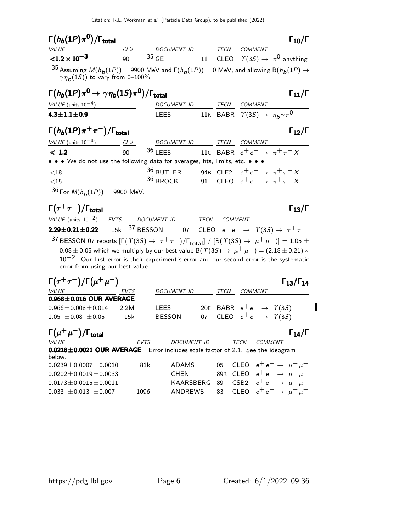| $\Gamma(h_b(1P)\pi^0)/\Gamma_{\text{total}}$                                                                                                                       |                                                                                                |                                                                   |  |      |                                                         | $\Gamma_{10}/\Gamma$ |  |  |
|--------------------------------------------------------------------------------------------------------------------------------------------------------------------|------------------------------------------------------------------------------------------------|-------------------------------------------------------------------|--|------|---------------------------------------------------------|----------------------|--|--|
| VALUE<br>$CL\%$                                                                                                                                                    |                                                                                                | DOCUMENT ID                                                       |  | TECN | <b>COMMENT</b>                                          |                      |  |  |
| ${<}1.2 \times 10^{-3}$                                                                                                                                            | 90                                                                                             | $35 \text{ GE}$ 11 CLEO $\Upsilon(35) \rightarrow \pi^0$ anything |  |      |                                                         |                      |  |  |
| <sup>35</sup> Assuming $M(h_h(1P)) = 9900$ MeV and $\Gamma(h_h(1P)) = 0$ MeV, and allowing $B(h_h(1P) \rightarrow$<br>$\gamma \eta_{b}(1S)$ ) to vary from 0-100%. |                                                                                                |                                                                   |  |      |                                                         |                      |  |  |
|                                                                                                                                                                    | $\Gamma(h_b(1P)\pi^0 \to \gamma\eta_b(1S)\pi^0)/\Gamma_{\text{total}}$<br>$\Gamma_{11}/\Gamma$ |                                                                   |  |      |                                                         |                      |  |  |
| VALUE (units $10^{-4}$ )                                                                                                                                           |                                                                                                | DOCUMENT ID                                                       |  | TECN | <b>COMMENT</b>                                          |                      |  |  |
| $4.3 \pm 1.1 \pm 0.9$                                                                                                                                              |                                                                                                | <b>LEES</b>                                                       |  |      | 11K BABR $\Upsilon(35) \rightarrow \eta_b \gamma \pi^0$ |                      |  |  |
| $\Gamma(h_b(1P)\pi^+\pi^-)/\Gamma_{\rm total}$                                                                                                                     |                                                                                                |                                                                   |  |      |                                                         | $\Gamma_{12}/\Gamma$ |  |  |
| VALUE (units $10^{-4}$ ) CL%                                                                                                                                       |                                                                                                | DOCUMENT ID TECN                                                  |  |      | <b>COMMENT</b>                                          |                      |  |  |
| < 1.2                                                                                                                                                              | 90                                                                                             | <sup>36</sup> LEES 11C BABR $e^+e^- \rightarrow \pi^+\pi^-X$      |  |      |                                                         |                      |  |  |
| • • • We do not use the following data for averages, fits, limits, etc. • • •                                                                                      |                                                                                                |                                                                   |  |      |                                                         |                      |  |  |
| - ∠ 1 O                                                                                                                                                            |                                                                                                | 30 DUTLED 040 CLEQ $_{0}+_{0}$ $_{+}$ $_{+}$ $_{+}$ $_{+}$ $_{+}$ |  |      |                                                         |                      |  |  |

| ${<}18$ | $36$ BUTLER 94B CLE2 $e^+e^- \rightarrow \pi^+\pi^- X$ |  |  |
|---------|--------------------------------------------------------|--|--|
| ${<}15$ | $36$ BROCK 91 CLEO $e^+e^- \rightarrow \pi^+\pi^-X$    |  |  |

 $36$  For  $M(h_b(1P)) = 9900$  MeV.

#### $\Gamma(\tau^+\tau^-)/\Gamma_{\rm total}$  Γ<sub>13</sub>/Γ  $\Gamma$ <sub>total</sub> Γ<sub>13</sub>/Γ

 $\frac{\text{VALUE (units 10}^{-2})}{\text{2.29} \pm \text{0.21} \pm \text{0.22}}$   $\frac{\text{EVTS}}{\text{15k}}$  37 BESSON  $\frac{\text{VALUE (units 10}^{-2})}{2.29 \pm 0.21 \pm 0.22}$  15k 37 BESSON 07 CLEO  $e^+e^- \rightarrow \gamma(35) \rightarrow \tau^+ \tau^ ^{37}$ BESSON 07 reports [Γ $(\varUpsilon(3S) \to \tau^+ \tau^-)/\Gamma_{\rm total}$ ] / [Β $(\varUpsilon(3S) \to \mu^+ \mu^-)$ ] = 1.05  $\pm$  $0.08 \pm 0.05$  which we multiply by our best value B(  $\mathcal{T}(3S) \rightarrow \mu^+ \mu^-) = (2.18 \pm 0.21) \times$  $10^{-2}$ . Our first error is their experiment's error and our second error is the systematic error from using our best value.

| $\Gamma(\tau^+\tau^-)/\Gamma(\mu^+\mu^-)$                                                |      |                    |    |                 |                |                                          | $\Gamma_{13}/\Gamma_{14}$ |
|------------------------------------------------------------------------------------------|------|--------------------|----|-----------------|----------------|------------------------------------------|---------------------------|
| VALUE                                                                                    | EVTS | <i>DOCUMENT ID</i> |    | <b>TECN</b>     | <i>COMMENT</i> |                                          |                           |
| $0.968 \pm 0.016$ OUR AVERAGE                                                            |      |                    |    |                 |                |                                          |                           |
| $0.966 + 0.008 + 0.014$                                                                  | 2.2M | LEES               |    |                 |                | 20E BABR $e^+e^- \rightarrow \gamma(35)$ |                           |
| $1.05 + 0.08 + 0.05$                                                                     | 15k  | <b>BESSON</b>      | 07 |                 |                | CLEO $e^+e^- \rightarrow \Upsilon(35)$   |                           |
| $\Gamma(\mu^+\mu^-)/\Gamma_{\rm total}$                                                  |      |                    |    |                 |                |                                          | $\Gamma_{14}/\Gamma$      |
| <b>VALUE</b>                                                                             | EVTS | <b>DOCUMENT ID</b> |    |                 | TECN           | COMMENT                                  |                           |
| 0.0218±0.0021 OUR AVERAGE Error includes scale factor of 2.1. See the ideogram<br>below. |      |                    |    |                 |                |                                          |                           |
| $0.0239 + 0.0007 + 0.0010$                                                               | 81k  | <b>ADAMS</b>       |    | 05              |                | CLEO $e^+e^- \rightarrow \mu^+\mu^-$     |                           |
| $0.0202 \pm 0.0019 \pm 0.0033$                                                           |      | <b>CHEN</b>        |    | 89 <sub>B</sub> |                | CLEO $e^+e^- \rightarrow \mu^+\mu^-$     |                           |
| $0.0173 + 0.0015 + 0.0011$                                                               |      | KAARSBERG          |    | 89              |                | CSB2 $e^+e^- \rightarrow \mu^+\mu^-$     |                           |
| $0.033 + 0.013 + 0.007$                                                                  | 1096 | ANDREWS            |    | 83              | <b>CLEO</b>    | $e^+e^- \rightarrow \mu^+\mu^-$          |                           |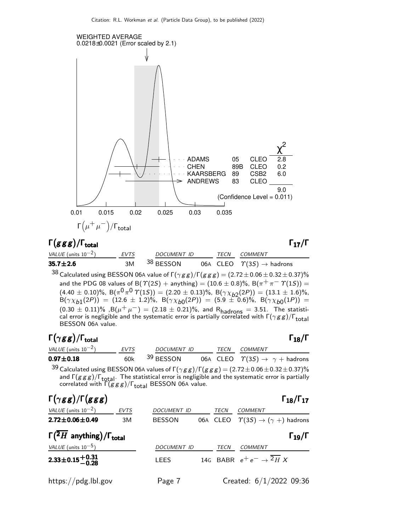

# Γ(g g g)/Γ<sub>total</sub> Γ<sub>17</sub>/Γ

| VALUE (units $10^{-2}$ ) | <b>EVTS</b> | <b>DOCUMENT ID</b> | TECN | COMMENT                                                                                                                    |
|--------------------------|-------------|--------------------|------|----------------------------------------------------------------------------------------------------------------------------|
| $35.7 \pm 2.6$           | 3M          | 38 BESSON          |      | 06A CLEO $\Upsilon(3S) \rightarrow$ hadrons                                                                                |
|                          |             |                    |      | $38$ Calculated using BESSON 06A value of $\Gamma(\gamma g g)/\Gamma(g g g) = (2.72 \pm 0.06 \pm 0.32 \pm 0.37)\%$         |
|                          |             |                    |      | and the PDG 08 values of B( $\Upsilon(2S)$ + anything) = (10.6 ± 0.8)%, B( $\pi^{+} \pi^{-} \Upsilon(1S)$ ) =              |
|                          |             |                    |      | $(4.40 \pm 0.10)\%$ , B $(\pi^0 \pi^0 \Upsilon(15)) = (2.20 \pm 0.13)\%$ , B $(\gamma \chi_{b2}(2P)) = (13.1 \pm 1.6)\%$ , |
|                          |             |                    |      | $B(\gamma \chi_{b1}(2P)) = (12.6 \pm 1.2)\%$ , $B(\gamma \chi_{b0}(2P)) = (5.9 \pm 0.6)\%$ , $B(\gamma \chi_{b0}(1P)) =$   |
|                          |             |                    |      | $(0.30 \pm 0.11)\%$ , B( $\mu^+\mu^-$ ) = (2.18 $\pm$ 0.21)%, and R <sub>hadrons</sub> = 3.51. The statisti-               |

cal error is negligible and the systematic error is partially correlated with  $\Gamma(\gamma g\,g)/\Gamma_{\rm total}$ BESSON 06A value.

# Γ $(\gamma$ g g)/Γ<sub>total</sub> Γ

| <i>VALUE</i> (units $10^{-2}$ ) | <b>EVTS</b> | <i>DOCUMENT ID</i>   |  | TECN COMMENT                                         |  |
|---------------------------------|-------------|----------------------|--|------------------------------------------------------|--|
| $0.97 \pm 0.18$                 | 60k         | <sup>39</sup> BESSON |  | 06A CLEO $\Upsilon(3S) \rightarrow \gamma +$ hadrons |  |
| $\Omega$                        |             |                      |  |                                                      |  |

 $^{39}$  Calculated using BESSON 06A values of Г $(\gamma g \,g)/$ Г $(g \, g \, g)$   $=$   $(2.72\pm0.06\pm0.32\pm0.37)\%$ and  $\Gamma(g\,g\,g)/\Gamma_{\text{total}}$ . The statistical error is negligible and the systematic error is partially correlated with  $\bar{\Gamma}(\bar{g}\,g\,g)/\Gamma_{\rm total}$  BESSON 06A value.

| $\Gamma(\gamma gg)/\Gamma(ggg)$                   |             |                    |             | $\Gamma_{18}/\Gamma_{17}$                      |
|---------------------------------------------------|-------------|--------------------|-------------|------------------------------------------------|
| VALUE (units $10^{-2}$ )                          | <b>EVTS</b> | <b>DOCUMENT ID</b> | <b>TECN</b> | COMMENT                                        |
| $2.72 \pm 0.06 \pm 0.49$                          | 3M          | <b>BESSON</b>      | 06A CLEO    | $\varUpsilon(3S) \to (\gamma + )$ hadrons      |
| $\Gamma({}^2H$ anything)/ $\Gamma_{\text{total}}$ |             |                    |             | $\Gamma_{19}/\Gamma$                           |
| VALUE (units $10^{-5}$ )                          |             | <b>DOCUMENT ID</b> | TECN        | <b>COMMENT</b>                                 |
| $2.33 \pm 0.15 \pm 0.31$                          |             | <b>LEES</b>        |             | 14G BABR $e^+e^- \rightarrow \overline{^2H} X$ |
| https://pdg.lbl.gov                               |             | Page 7             |             | Created: $6/1/2022$ 09:36                      |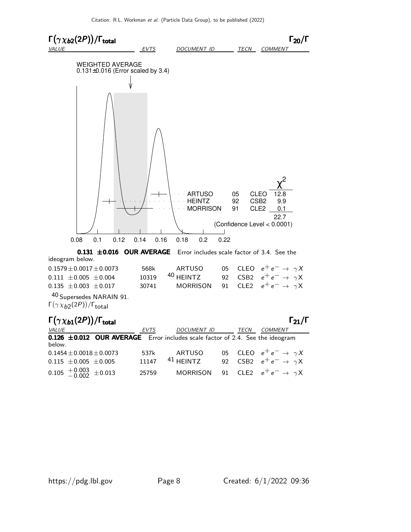

| $0.1579 \pm 0.0017 \pm 0.0073$ |       | 568k ARTUSO                |  | 05 CLEO $e^+e^- \rightarrow \gamma X$          |
|--------------------------------|-------|----------------------------|--|------------------------------------------------|
| $0.111 \pm 0.005 \pm 0.004$    |       | 10319 <sup>40</sup> HEINTZ |  | 92 CSB2 $e^+e^- \rightarrow \gamma X$          |
| $0.135 \pm 0.003 \pm 0.017$    | 30741 |                            |  | MORRISON 91 CLE2 $e^+e^- \rightarrow \gamma X$ |

40 Supersedes NARAIN 91. Γ $(\gamma \chi_{b2}(2P))/$ Γ $_{\sf total}$ 

| $\Gamma(\gamma \chi_{b1}(2P))/\Gamma_{\text{total}}$                                    |       |             |      | $\Gamma_{21}/\Gamma$                           |
|-----------------------------------------------------------------------------------------|-------|-------------|------|------------------------------------------------|
| <i>VALUE</i>                                                                            | EVTS  | DOCUMENT ID | TECN | <b>COMMENT</b>                                 |
| 0.126 ±0.012 OUR AVERAGE Error includes scale factor of 2.4. See the ideogram<br>below. |       |             |      |                                                |
| $0.1454 \pm 0.0018 \pm 0.0073$                                                          | 537k  | ARTUSO      |      | 05 CLEO $e^+e^- \rightarrow \gamma X$          |
| $0.115 \pm 0.005 \pm 0.005$                                                             | 11147 | $41$ HEINTZ |      | 92 CSB2 $e^+e^- \rightarrow \gamma X$          |
| $0.105 \begin{array}{c} +0.003 \\ -0.002 \end{array} \pm 0.013$                         | 25759 |             |      | MORRISON 91 CLE2 $e^+e^- \rightarrow \gamma X$ |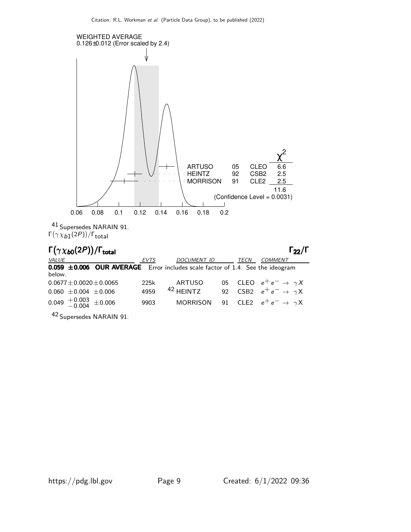

42 Supersedes NARAIN 91.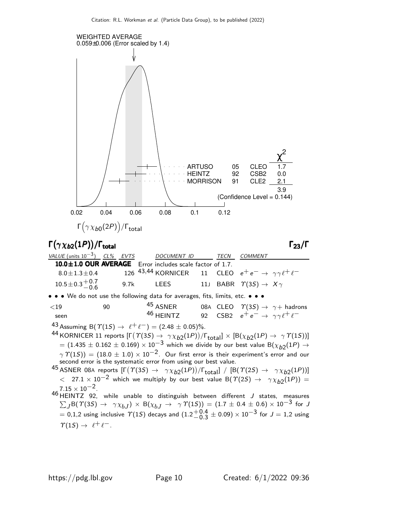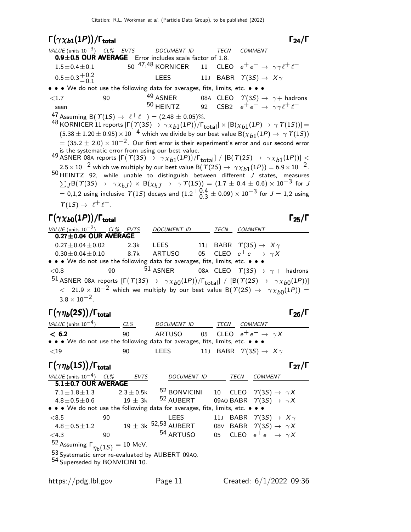Γ $(\gamma \chi_{b1}(1P))/\Gamma_{\text{total}}$  Γ<sub>24</sub>/Γ total and the contract of the contract of  $\sim$  1 24/1 VALUE (units  $10^{-3}$ ) CL% EVTS DOCUMENT ID TECN COMMENT **0.9** $\pm$ **0.5 OUR AVERAGE** Error includes scale factor of 1.8.<br>1.5 $\pm$ 0.4 $\pm$ 0.1 50  $^{47,48}$  KORNICER 11 CLE  $1.5 \pm 0.4 \pm 0.1$  50  $^{47,48}$  KORNICER 11 CLEO  $e^+e^- \rightarrow \gamma \gamma \ell^+ \ell^ 0.5\pm0.3\frac{+0.2}{-0.1}$  $-0.1$ LEES 11J BABR  $\Upsilon(3S) \rightarrow X \gamma$ • • • We do not use the following data for averages, fits, limits, etc. • • •  $\langle 1.7$  90  $\langle 49 \rangle$  ASNER 08A CLEO  $\gamma(3S) \rightarrow \gamma +$  hadrons<br>seen  $\langle 50 \rangle$  HFINTZ 92 CSB2  $e^+e^- \rightarrow \gamma \gamma + e^$ seen 50 HEINTZ 92 CSB2  $e^+e^- \rightarrow \gamma \gamma \ell^+ \ell^-$ 47 Assuming B( $\Upsilon(15) \rightarrow e^+e^-$ ) = (2.48 ± 0.05)%.  $^{48}$  KORNICER 11 reports  $[\Gamma(\varUpsilon(3S) \to \gamma \chi_{b1}(1P))/\Gamma_{\text{total}}] \times [ \mathsf{B}(\chi_{b1}(1P) \to \, \gamma \varUpsilon(1S))] =$  $(5.38 \pm 1.20 \pm 0.95) \times 10^{-4}$  which we divide by our best value B( $\chi_{b1}(1P) \rightarrow \gamma \Upsilon(1S)$ )  $= (35.2 \pm 2.0) \times 10^{-2}$ . Our first error is their experiment's error and our second error is the systematic error from using our best value. <sup>49</sup> ASNER 08A reports  $[Γ(T(3S) → γχ_{b1}(1P))/Γ_{total}] / [B(T(2S) → γχ_{b1}(1P))]$  $2.5 \times 10^{-2}$  which we multiply by our best value B( $\Upsilon(2S) \rightarrow \gamma \chi_{b1}(1P) = 6.9 \times 10^{-2}$ .  $50$  HEINTZ 92, while unable to distinguish between different J states, measures  $\sum_J {\sf B}(\varUpsilon(3S) \to \ \gamma \chi_{bJ})\,\times\,{\sf B}(\chi_{bJ} \to \ \ \gamma\,\varUpsilon(1S))\,=\,(1.7\,\pm\,0.4\,\pm\,0.6)\times 10^{-3}$  for  $J$  $= 0.1.2$  using inclusive  $\Upsilon(1S)$  decays and  $(1.2\frac{+0.4}{0.3})$  $^{+0.4}_{-0.3}\pm$  0.09)  $\times$  10 $^{-3}$  for  $J=$  1,2 using  $\Gamma(1S) \rightarrow \ell^+ \ell^-$ . Γ $(\gamma \chi_{b0}(1P))/\Gamma_{\text{total}}$  Γ $_{25}/\Gamma$ total and the contract of the contract of the contract of the contract of the contract of the contract of the c VALUE (units  $10^{-2}$ ) CL% EVTS DOCUMENT ID TECN COMMENT  $0.27\pm0.04$  OUR AVERAGE  $0.27\pm0.04\pm0.02$  2.3k LEES 11J BABR  $\Upsilon(3S) \rightarrow X \gamma$  $0.30\pm0.04\pm0.10$  8.7k ARTUSO 05 CLEO  $e^+e^- \rightarrow \gamma X$ • • • We do not use the following data for averages, fits, limits, etc. • • •  $<$  0.8 90  $^{51}$  ASNER 08A CLEO  $\varUpsilon(3S) \rightarrow \gamma +$  hadrons  $^{51}$  ASNER 08A reports  $[\Gamma(\Upsilon(3S) \rightarrow \ \gamma \chi_{b0}(1P))/\Gamma_{\rm total}] / [\Bbb B(\Upsilon(2S) \rightarrow \ \gamma \chi_{b0}(1P))]$  $<$  21.9  $\times$  10<sup>-2</sup> which we multiply by our best value B( $\Upsilon(2S) \rightarrow \gamma \chi_{b0}(1P)$ ) =  $3.8 \times 10^{-2}$ . Γ $(\gamma \eta_b(2S))/\Gamma_{\text{total}}$  Γ $_{26}/\Gamma$ VALUE (units  $10^{-4}$ ) CL% DOCUMENT ID TECN COMMENT  $<$  6.2 90 ARTUSO 05 CLEO  $e^+e^- \rightarrow \gamma X$ • • • We do not use the following data for averages, fits, limits, etc. • • •  $\langle 19 \rangle$  30 LEES 11J BABR  $\gamma$  (3S)  $\rightarrow X \gamma$ Γ $(\gamma \eta_b(1S))/\Gamma_{\text{total}}$ Γ VALUE (units 10<sup>-4</sup>) CL% EVTS DOCUMENT ID TECN COMMENT  $5.1\pm0.7$  OUR AVERAGE  $7.1 \pm 1.8 \pm 1.3$  2.3  $\pm$  0.5k  $5^2$  BONVICINI 10 CLEO  $\Upsilon(3S) \rightarrow \gamma X$ <br>4.8 $\pm$ 0.5 $\pm$ 0.6 19  $\pm$  3k  $5^2$  AUBERT 09AQ BABR  $\Upsilon(3S) \rightarrow \gamma X$  $4.8\pm0.5\pm0.6$  19  $\pm$  3k <sup>52</sup> AUBERT 09AQ BABR  $\gamma(3S) \rightarrow \gamma X$ • • • We do not use the following data for averages, fits, limits, etc. • • •  $\langle 8.5$  90 LEES 11J BABR  $\gamma(3S) \rightarrow X \gamma$ <br>4.8 $\pm$ 0.5 $\pm$ 1.2 19 $\pm$  3k <sup>52,53</sup> AUBERT 08V BABR  $\gamma(3S) \rightarrow \gamma X$  $4.8\pm0.5\pm1.2$  19  $\pm$  3k <sup>52,53</sup> AUBERT 08V BABR  $\gamma(3S) \rightarrow \gamma X$ <4.3 90 54 ARTUSO 05 CLEO e+ e− → γ X <sup>52</sup> Assuming  $\Gamma_{\eta_b(1S)} = 10$  MeV. 53 Systematic error re-evaluated by AUBERT 09AQ. 54 Superseded by BONVICINI 10.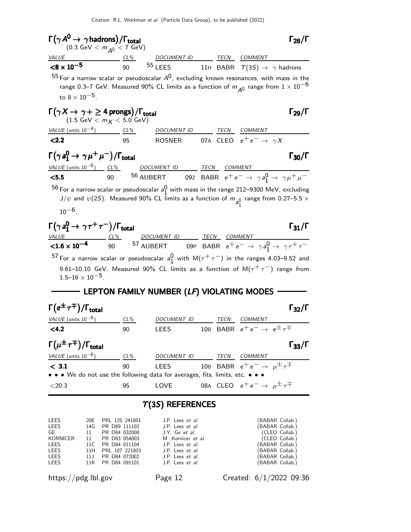| $\Gamma(\gamma A^{\mathbf{0}}\!\rightarrow \gamma\text{hadrons})/\Gamma_{\text{total}} \\ (0.3 \text{ GeV}< m_{A^0}<7 \text{ GeV})$                                                                                  |        |                                                                                                                        |  |                                                    | $\Gamma_{28}/\Gamma$ |
|----------------------------------------------------------------------------------------------------------------------------------------------------------------------------------------------------------------------|--------|------------------------------------------------------------------------------------------------------------------------|--|----------------------------------------------------|----------------------|
| <i>VALUE</i>                                                                                                                                                                                                         |        | $\frac{CL\%}{90}$ $\frac{DOCUMENT ID}{11}$ $\frac{TECN}{BABR}$ $\frac{COMMENT}{\gamma(3S)} \rightarrow \gamma$ hadrons |  |                                                    |                      |
| ${<}8\times10^{-5}$                                                                                                                                                                                                  |        |                                                                                                                        |  |                                                    |                      |
| $55$ For a narrow scalar or pseudoscalar $A^0$ , excluding known resonances, with mass in the<br>to $8 \times 10^{-5}$ .                                                                                             |        | range 0.3–7 GeV. Measured 90% CL limits as a function of $m_{\tilde{A}^0}$ range from $1\times 10^{-6}$                |  |                                                    |                      |
| $\Gamma(\gamma X \to \gamma + \geq 4$ prongs)/ $\Gamma_{\rm total}$<br>$(1.5 \text{ GeV} < m_X < 5.0 \text{ GeV})$                                                                                                   |        |                                                                                                                        |  |                                                    | $\Gamma_{29}/\Gamma$ |
| $VALUE$ (units $10^{-4}$ ) $CL\%$ DOCUMENT ID TECN COMMENT                                                                                                                                                           |        |                                                                                                                        |  |                                                    |                      |
| 2.2                                                                                                                                                                                                                  | 95     | ROSNER 07A CLEO $e^+e^- \rightarrow \gamma X$                                                                          |  |                                                    |                      |
| $\Gamma(\gamma \, a_1^0 \rightarrow \, \gamma \, \mu^+ \, \mu^-)/\Gamma_{\rm total}$                                                                                                                                 |        |                                                                                                                        |  |                                                    | $\Gamma_{30}/\Gamma$ |
|                                                                                                                                                                                                                      |        |                                                                                                                        |  |                                                    |                      |
|                                                                                                                                                                                                                      |        |                                                                                                                        |  |                                                    |                      |
| $^{56}$ For a narrow scalar or pseudoscalar $a_1^0$ with mass in the range 212–9300 MeV, excluding<br>$10^{-6}$ .                                                                                                    |        | $J/\psi$ and $\psi(2S)$ . Measured 90% CL limits as a function of $m_{a}^0$ range from 0.27–5.5 $\times$               |  |                                                    |                      |
| $\Gamma(\gamma \, a_1^0 \rightarrow \, \gamma \, \tau^+ \, \tau^-)/\Gamma_{\rm total}$                                                                                                                               |        |                                                                                                                        |  |                                                    | $\Gamma_{31}/\Gamma$ |
| $\frac{\text{VALUE}^2}{\text{C1.6} \times 10^{-4}}$ $\frac{CL\%}{90}$ $\frac{DOCUMENTID}{57 \text{ AUBERT}}$ $\frac{TECN}{100}$ $\frac{COMMENT}{e^+e^-}$ $\rightarrow \gamma a_1^0 \rightarrow \gamma \tau^+ \tau^-$ |        |                                                                                                                        |  |                                                    |                      |
| $^{57}$ For a narrow scalar or pseudoscalar $a_1^0$ with M( $\tau^+\tau^-$ ) in the ranges 4.03–9.52 and                                                                                                             |        |                                                                                                                        |  |                                                    |                      |
| $1.5 - 16 \times 10^{-5}$ .                                                                                                                                                                                          |        | 9.61-10.10 GeV. Measured 90% CL limits as a function of $M(\tau^+\tau^-)$ range from                                   |  |                                                    |                      |
|                                                                                                                                                                                                                      |        |                                                                                                                        |  |                                                    |                      |
| $\Gamma(e^{\pm}\tau^{\mp})/\Gamma_{\rm total}$                                                                                                                                                                       |        |                                                                                                                        |  |                                                    | $\Gamma_{32}/\Gamma$ |
| VALUE (units $10^{-6}$ )                                                                                                                                                                                             | $CL\%$ | DOCUMENT ID TECN COMMENT                                                                                               |  |                                                    |                      |
| < 4.2                                                                                                                                                                                                                | 90     | LEES                                                                                                                   |  | 10B BABR $e^+e^- \rightarrow e^{\pm} \tau^{\mp}$   |                      |
| $\Gamma(\mu^{\pm}\tau^{\mp})/\Gamma_{\rm total}$                                                                                                                                                                     |        |                                                                                                                        |  |                                                    | $\Gamma_{33}/\Gamma$ |
| $VALUE$ (units $10^{-6}$ )                                                                                                                                                                                           | $CL\%$ | DOCUMENT ID                                                                                                            |  | TECN COMMENT                                       |                      |
| $<$ 3.1                                                                                                                                                                                                              | 90     | <b>LEES</b>                                                                                                            |  | 10B BABR $e^+e^- \rightarrow \mu^{\pm} \tau^{\mp}$ |                      |
| • • • We do not use the following data for averages, fits, limits, etc. • • •                                                                                                                                        |        |                                                                                                                        |  |                                                    |                      |
| $<$ 20.3                                                                                                                                                                                                             | 95     | LOVE                                                                                                                   |  | 08A CLEO $e^+e^- \rightarrow \mu^{\pm} \tau^{\mp}$ |                      |
|                                                                                                                                                                                                                      |        | $\Upsilon(35)$ REFERENCES                                                                                              |  |                                                    |                      |

| <b>LEES</b> | 20E PRL 125 241801        | J.P. Lees <i>et al.</i> | (BABAR Collab.) |
|-------------|---------------------------|-------------------------|-----------------|
| LEES        | 14G PR D89 111102         | J.P. Lees <i>et al.</i> | (BABAR Collab.) |
| GE          | 11 PR D84 032008          | J.Y. Ge <i>et al.</i>   | (CLEO Collab.)  |
|             | KORNICER 11 PR D83 054003 | M. Kornicer et al.      | (CLEO Collab.)  |
| LEES        | 11C PR D84 011104         | J.P. Lees <i>et al.</i> | (BABAR Collab.) |
| LEES        | 11H PRL 107 221803        | J.P. Lees <i>et al.</i> | (BABAR Collab.) |
| LEES        | 11J PR D84 072002         | J.P. Lees <i>et al.</i> | (BABAR Collab.) |
| LEES        | 11K PR D84 091101         | J.P. Lees <i>et al.</i> | (BABAR Collab.) |
|             |                           |                         |                 |

https://pdg.lbl.gov Page 12 Created: 6/1/2022 09:36